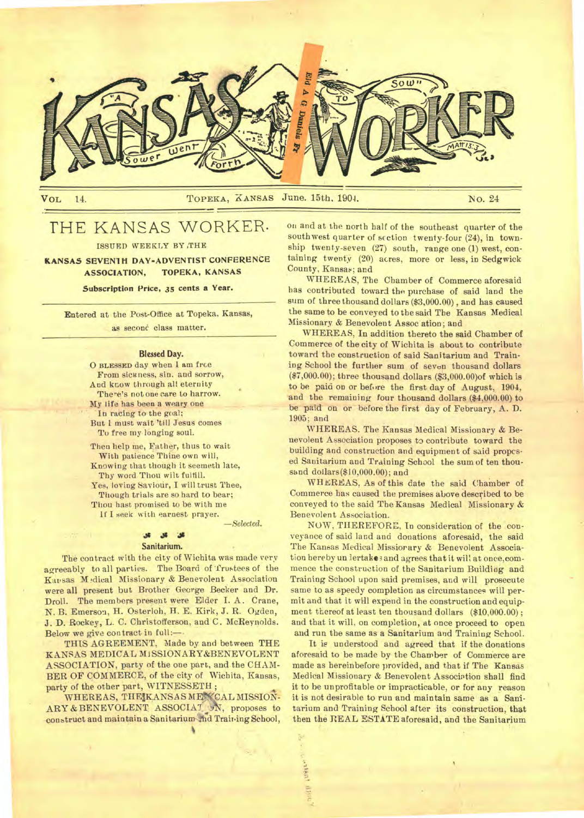

**VOL 14. TOPEKA, KANSAS June. 15th. 1904. NO. 24** 

# THE KANSAS WORKER.

**ISSUED WEEKLY BY ,THE** 

**KANSAS SEVEN1H DAY-ADVENTIST CONFERENCE ASSOCIATION, TOPEKA, KANSAS** 

**Subscription Price, 35 cents a Year.** 

**Entered at the Post-Office at Topeka. Kansas,**  as second class matter.

### **Blessed Day.**

**0 BLESSED day when I am free From sickness, sin, and sorrow, And know through all eternity There's not one care to harrow. My l**ife **has been a weary one In racing to the goal; But I must wait 'till Jesus comes To free my longing soul.** 

**Then help me, Father, thus to wait With patience Thine own will, Knowing that though it seemeth late, Thy word Thou wilt fulfill.**  Yes, loving Saviour, I will trust Thee, **Though trials are so hard to bear; Thou hast promised to be with me**  if **I seek with earnest prayer.** 

—Selected.

### **.\$4**

### **Sanitarium.**

**The contract with the city of Wichita was made very agreeably to all parties. The Board of 'frustees of the**  Kansas Medical Missionary & Benevolent Association **were all present but Brother George Becker and Dr. Droll. The members present were Elder I. A. Crane, N. B. Emerson, H. Osterloh, H. E. Kirk, J. R. Ogden, J. D. Rockey, L. C. Christofferson, and C. McReynolds. Below we give contract in full:—** 

**THIS AGREEMENT, Made by and between THE KANSAS MEDICAL M1SSIONARY&BENEVOLENT ASSOCIATION, party of the one part, and the CHAM-BER OF COMMERCE, of the city of Wichita, Kansas, party of the other part, WITNESSETH ;** 

WHEREAS, THE KANSAS ME CAL MISSION-**ARY & BENEVOLENT ASSOCIAT** 'AV, **proposes to construct and maintain a Sanitarium-tid Training School,** 

**on and at the north half of the southeast quarter of the southwest quarter of section twenty-four (24), in township twenty-seven (27) south, range one (1) west, containing twenty (20) acres, more or less, in Sedgwick County, Kansas; and** 

**WHEREAS, The Chamber of Commerce aforesaid has contributed toward the purchase of said land the sum of three thousand dollars (\$3,000.00), and has caused the same to be conveyed to the said The Kansas Medical Missionary & Benevolent Assoc ation; and** 

**WHEREAS, In addition thereto the said Chamber of Commerce of the city of Wichita is about to contribute toward the construction of said Sanitarium and Training School the further sum of seven thousand dollars (\$7,000.00); three thousand dollars (\$3,000.00)of which is to be paid on or before the first day of August, 1904, and the remaining four thousand dollars (\$4,000.00) to be paid on or before the first day of February, A. D. 1905; and** 

**WHEREAS. The Kansas Medical Missionary & Benevolent Association proposes to contribute toward the**  building and construction and equipment of said propos**ed Sanitarium and Training School the sum of ten thousand dollars(\$10,000.00); and** 

WHEREAS, As of this date the said Chamber of **Commerce has caused the premises above described to be conveyed to the said The Kansas Medical Missionary & Benevolent Association.** 

**NOW, THEREFORE, In consideration of the conveyance of said land and donations aforesaid, the said The Kansas Medical Missiorary & Benevolent Association hereby un iertake** 3 **and agrees that it will at once,commence the construction of the Sanitarium Building and Training School upon said premises, and will prosecute same to as speedy completion as circumstances will permit and that it will expend in the construction and equipment thereof at least ten thousand dollars (\$10,000.00); and that it will, on completion, at once proceed to open and run the same as a Sanitarium and Training School.** 

**It is understood and agreed that if the donations aforesaid to be made by the Chamber of Commerce are made as bereinbefore provided, and that if The Kansas Medical Missionary & Benevolent Association shall find it to be unprofitable or impracticable, or for any reason it is not desirable to run and maintain same as a Sanitarium and Training School after its construction, that then the REAL ESTATE aforesaid, and the Sanitarium**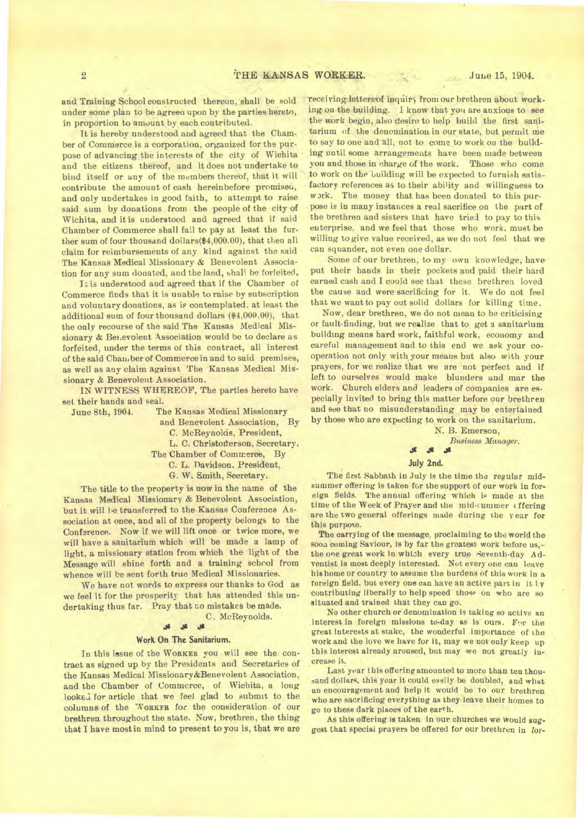and Training School constructed thereon, shall be sold under some plan to be agreea upon by the parties hereto, in proportion to amount by each contributed.

It is hereby understood and agreed that the Chamber of Commerce is a corporation, organized for the purpose of advancing the interests of the city of Wichita and the citizens thereof, and it does not undertake to bind itself or any of the members thereof, that it will contribute the amount of cash hereinbefore promised, and only undertakes in good faith, to attempt to raise said sum by donations from the people of the city of Wichita, and it is understood and agreed that if said Chamber of Commerce shall fail to pay at least the further sum of four thousand dollars(\$4,000.00), that then all claim for reimbursements of any kind against the said The Kansas Medical Missionary & Benevolent Association for any sum donated, and the land, shall be forfeited.

It is understood and agreed that if the Chamber of Commerce finds that it is unable to raise by subscription and voluntary donations, as is contemplated, at least the additional sum of four thousand dollars (\$4,000.00), that the only recourse of the said The Kansas Medical Missionary & Benevolent Association would be to declare as forfeited, under the terms of this contract, all interest of the said Chamber of Commerce in and to said premises, as well as any claim against The Kansas Medical Missionary & Benevolent Association.

IN WITNESS WHEREOF, The parties hereto have set their hands and seal.

June 8th, 1904. The Kansas Medical Missionary

and Benevolent Association, By

C. McReynolds, President,

L. C. Christofferson, Secretary.

The Chamber of Commerce, By

C. L. Davidson. President,

G. W. Smith, Secretary.

The title to the property is now in the name of the Kansas Medical Missionary & Benevolent Association, but it will be transferred to the Kansas Conference Association at once, and all of the property belongs to the Conference. Now if we will lift once or twice more, we will have a sanitarium which will be made a lamp of light, a missionary station from which the light of the Message will shine forth and a training schrol from whence will be sent forth true Medical Missionaries.

We have not words to express our thanks to God as we feel it for the prosperity that has attended this undertaking thus far. Pray that no mistakes be made.

C. McReynolds.

### **3s .11**

### **Work On The Sanitarium.**

In this issue of the WORKER you will see the contract as signed up by the Presidents and Secretaries of the Kansas Medical Missionary&Benevolent Association, and the Chamber of Commerce, of Wichita, a long looked for article that we feel glad to submit to the columns of the WORKFR for the consideration of our brethren throughout the state. Now, brethren, the thing that I have most in mind to present to you is, that we are

receiving letters of inquiry from our brethren about working on the building. I know that you are anxious to see the work begin, also desire to help build the first sanitarium of the denomination in our state, but permit me to say to one and all, not to come to work on the building until some arrangements have been made between you and those in charge of the work. Those who come to work on the building will be expected to furnish satisfactory references as to their ability and willingness to work. The money that has been donated to this purpose is in many instances a real sacrifice on the part of the brethren and sisters that have tried to pay to this enterprise, and we feel that those who work, must be willing to give value received, as we do not feel that we can squander, not even one dollar.

Some of our brethren, to my own knowledge, have put their hands in their pockets and paid their hard earned cash and I could see that these brethren loved the cause and were sacrificing for it. We do not feel that we want to pay out solid dollars for killing time.

Now, dear brethren, we do not mean to be criticising or fault-finding, but we realize that to get a sanitarium building means hard work, faithful work, economy and careful management and to this end we ask your cooperation not only with your means but also with your prayers, for we realize that we are not perfect and if left to ourselves would make blunders and mar the work. Church elders and leaders of companies are especially invited to bring this matter before our brethren and see that no misunderstanding may be entertained by those who are expecting to work on the sanitarium.

> N. B. Emerson, *Business Manager.*  **Jr Ji**

#### **July 2nd.**

The first Sabbath in July is the time the regular midsummer offering is taken for the support of our work in foreign fields. The annual offering which is made at the time of the Week of Prayer and the mid-summer offering are **the** two general offerings made during the year for this purpose.

The carrying of the message, proclaiming to the world the sooa coming Saviour, is by far the greatest work before us,the one great work in which every true Seventh-day Adventist is most deeply interested. Not every one can leave his home or country to assume the burdens of this work in a foreign field. but every one can have an active part in it Ly contributing liberally to help speed those on who are so situated and trained that they can go.

No other church or denomination is taking so active an interest in foreign missions to-day as is ours. For the great interests at stake, the wonderful importance of the work and the love we have for it, may we not only keep up this interest already aroused, but may we not greatly increase it.

Last year this offering amounted to more than ten thousand dollars, this year it could easily be doubled, and what an encouragement and help it would be to our brethren who are sacrificing everything as they leave their homes to go to these dark places of the earth.

As this offering is taken in our churches we would suggest that special prayers be offered for our brethren in for-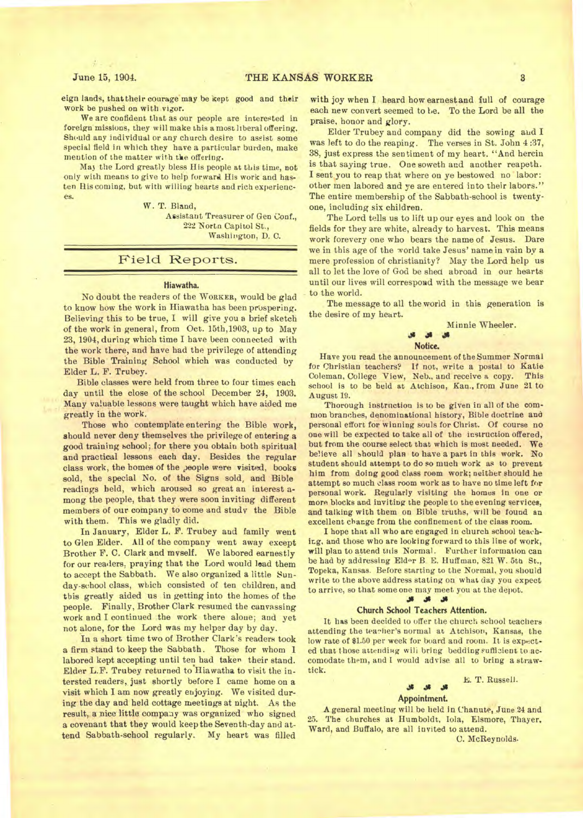eign lands, that their courage may be kept good and their work be pushed on with vigor.

We are confident that as our people are interested in foreign missions, they will make this a most liberal offering. Should any individual or any church desire to assist some special field in which they have a particular burden, make mention of the matter with the offering.

Ma) the Lord greatly bless His people at this time, not only with means to give to help forward His work and hasten His coming, but with willing hearts and rich experiences.

W. T. Bland,

Assistant Treasurer of Gen Conf., 222 Nortn Capitol St., Washington, D. C.

## Field Reports.

#### **Hiawatha.**

No doubt the readers of the **WORKER,** would be glad to know how the work in Hiawatha has been prospering. Believing this to be true, I will give you a brief sketch of the work in general, from Oct. 15th,1903, up to May 23, 1904, during which time I have been connected with the work there, and have had the privilege of attending the Bible Training School which was conducted by Elder L. F. Trubey.

Bible classes were held from three to four times each day until the close of the school December 24, 1903. Many valuable lessons were taught which have aided me greatly in the work.

Those who contemplate entering the Bible work, should never deny themselves the privilege of entering a good training school; for there you obtain both spiritual and practical lessons each day. Besides the regular class work, the homes of the people were visited, books sold, the special No. of the Signs sold, and Bible readings held, which aroused so great an interest among the people, that they were soon inviting different members of our company to come and study the Bible with them. This we gladly did.

In January, Elder L. F. Trubey and family went to Glen Elder. All of the company went away except Brother F. C. Clark and myself. We labored earnestly for our readers, praying that the Lord would lead them to accept the Sabbath. We also organized a little Sunday-school class, which consisted of ten children, and this greatly aided us in getting into the homes of the people. Finally, Brother Clark resumed the canvassing work and I continued the work there alone; and yet not alone, for the Lord was my helper day by day.

In a short time two of Brother Clark's readers took a firm stand to keep the Sabbath. Those for whom I labored kept accepting until ten had taken their stand. Elder L.F. Trubey returned to Hiawatha to visit the intersted readers, just shortly before I came home on a visit which I am now greatly enjoying. We visited during the day and held cottage meetings at night. As the result, a nice little company was organized who signed a covenant that they would keep the Seventh-day and attend Sabbath-school regularly. My heart was filled

with joy when I heard how earnest and full of courage each new convert seemed to be. To the Lord be all the praise, honor and glory.

Elder Trubey and company did the sowing and I was left to do the reaping. The verses in St. John 4 :37, 38, just express the sentiment of my heart. "And herein is that saying true. One soweth and another reapeth. I sent you to reap that where on ye bestowed no labor: other men labored and ye are entered into their labors." The entire membership of the Sabbath-school is twentyone, including six children.

The Lord tells us to lift up our eyes and look on the fields for they are white, already to harvest. This means work forevery one who bears the name of Jesus. Dare we in this age of the world take Jesus' name in vain by a mere profession of christianity? May the Lord help us all to let the love of God be shed abroad in our hearts until our lives will correspond with the message we bear to the world.

The message to all the world in this generation is the desire of my heart.

> Minnie Wheeler. **Notice.**

Have you read the announcement of the Summer Normal for Christian teachers? If not, write a postal to Katie Coleman, College View, Neb., and receive a copy. This school is to be held at Atchison, Kan., from June 21 to August 19.

Thorough instruction is to be given in all of the common branches, denominational history, Bible doctrine and personal effort for winning souls for Christ. Of course no one will be expected to take all of the instruction offered, but from the course select that which is most needed. We believe all should plan to have a part in this work. No student should attempt to do so much work as to prevent him from doing good class room work; neither should he attempt so much class room work as to have no time left for personal work. Regularly visiting the homes in one or more blocks and inviting the people to the evening services, and talking with them on Bible truths, will be found an excellent change from the confinement of the class room.

I hope that all who are engaged in church school teaching, and those who are looking forward to this line of work, will plan to attend this Normal. Further information can be had by addressing Elder B E. Huffman, 821 W. 5th St., Topeka, Kansas. Before starting to the Normal, you should write to the above address stating on what day you expect to arrive, so that some one may meet you at the depot.

### 4\$ 4\$ 4\$

### **Church School Teachers Attention.**

It has been decided to offer the church school teachers attending the teacher's normal at Atchison, Kansas, the low rate of \$1.50 per week for board and room. It is expected that those attending will bring bedding sufficient to accomodate them, and I would advise all to bring a strawtick.

### E. T. Russell.

### $36$   $36$   $36$ **Appointment.**

A general meeting will be held in Chanute, June 24 and 25. The churches at Humboldt, Iola, Elsmore, Thayer, Ward, and Buffalo, are all invited to attend.

C. McReynolds.